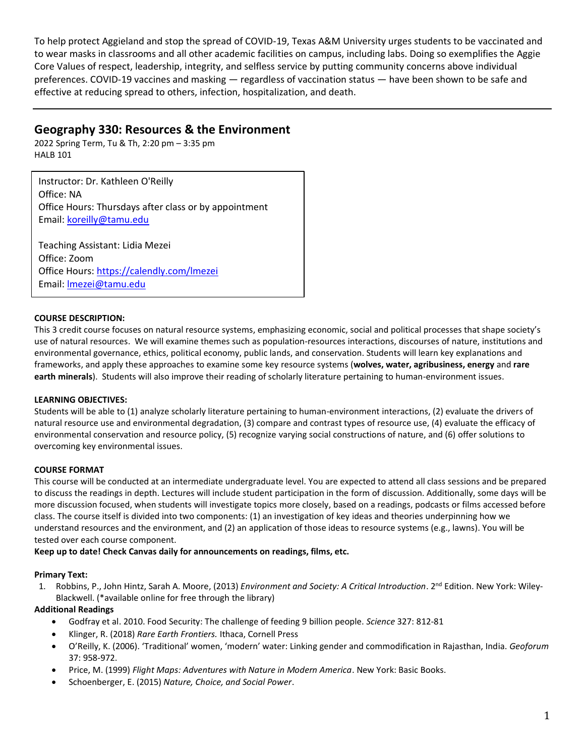To help protect Aggieland and stop the spread of COVID-19, Texas A&M University urges students to be vaccinated and to wear masks in classrooms and all other academic facilities on campus, including labs. Doing so exemplifies the Aggie Core Values of respect, leadership, integrity, and selfless service by putting community concerns above individual preferences. COVID-19 vaccines and masking — regardless of vaccination status — have been shown to be safe and effective at reducing spread to others, infection, hospitalization, and death.

# **Geography 330: Resources & the Environment**

2022 Spring Term, Tu & Th, 2:20 pm – 3:35 pm HALB 101

Instructor: Dr. Kathleen O'Reilly Office: NA Office Hours: Thursdays after class or by appointment Email: [koreilly@tamu.edu](mailto:koreilly@tamu.edu)

Teaching Assistant: Lidia Mezei Office: Zoom Office Hours: <https://calendly.com/lmezei> Email: [lmezei@tamu.edu](mailto:lmezei@tamu.edu)

## **COURSE DESCRIPTION:**

This 3 credit course focuses on natural resource systems, emphasizing economic, social and political processes that shape society's use of natural resources. We will examine themes such as population-resources interactions, discourses of nature, institutions and environmental governance, ethics, political economy, public lands, and conservation. Students will learn key explanations and frameworks, and apply these approaches to examine some key resource systems (**wolves, water, agribusiness, energy** and **rare earth minerals**). Students will also improve their reading of scholarly literature pertaining to human-environment issues.

## **LEARNING OBJECTIVES:**

Students will be able to (1) analyze scholarly literature pertaining to human-environment interactions, (2) evaluate the drivers of natural resource use and environmental degradation, (3) compare and contrast types of resource use, (4) evaluate the efficacy of environmental conservation and resource policy, (5) recognize varying social constructions of nature, and (6) offer solutions to overcoming key environmental issues.

## **COURSE FORMAT**

This course will be conducted at an intermediate undergraduate level. You are expected to attend all class sessions and be prepared to discuss the readings in depth. Lectures will include student participation in the form of discussion. Additionally, some days will be more discussion focused, when students will investigate topics more closely, based on a readings, podcasts or films accessed before class. The course itself is divided into two components: (1) an investigation of key ideas and theories underpinning how we understand resources and the environment, and (2) an application of those ideas to resource systems (e.g., lawns). You will be tested over each course component.

## **Keep up to date! Check Canvas daily for announcements on readings, films, etc.**

## **Primary Text:**

1. [Robbins,](http://www.amazon.com/Paul-Robbins/e/B001JPCFLW/ref=ntt_athr_dp_pel_1) P.[, John Hintz,](http://www.amazon.com/s/ref=ntt_athr_dp_sr_2?_encoding=UTF8&sort=relevancerank&search-alias=books&field-author=John%20Hintz) [Sarah A. Moore,](http://www.amazon.com/s/ref=ntt_athr_dp_sr_3?_encoding=UTF8&sort=relevancerank&search-alias=books&field-author=Sarah%20A.%20Moore) (2013) *Environment and Society: A Critical Introduction*. 2<sup>nd</sup> Edition. New York: Wiley-Blackwell. (\*available online for free through the library)

## **Additional Readings**

- Godfray et al. 2010. Food Security: The challenge of feeding 9 billion people. *Science* 327: 812-81
- Klinger, R. (2018) *Rare Earth Frontiers.* Ithaca, Cornell Press
- O'Reilly, K. (2006). 'Traditional' women, 'modern' water: Linking gender and commodification in Rajasthan, India. *Geoforum* 37: 958-972.
- Price, M. (1999) *Flight Maps: Adventures with Nature in Modern America*. New York: Basic Books.
- Schoenberger, E. (2015) *Nature, Choice, and Social Power*.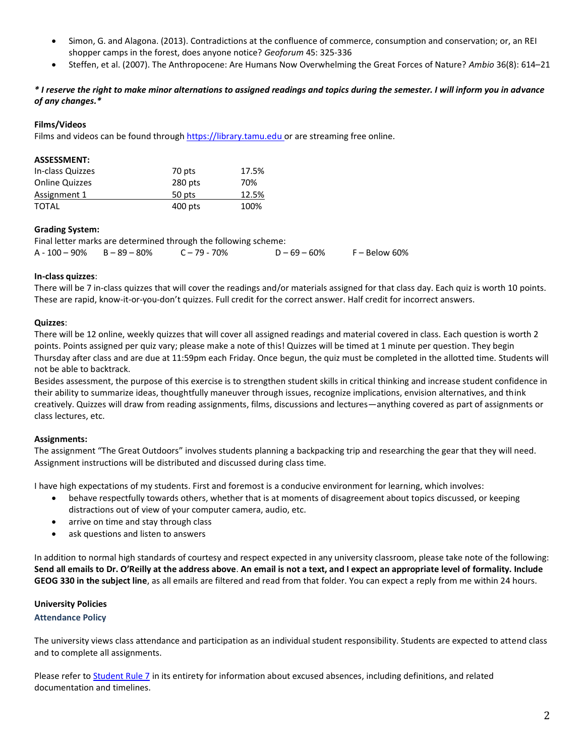- Simon, G. and Alagona. (2013). Contradictions at the confluence of commerce, consumption and conservation; or, an REI shopper camps in the forest, does anyone notice? *Geoforum* 45: 325-336
- Steffen, et al. (2007). The Anthropocene: Are Humans Now Overwhelming the Great Forces of Nature? *Ambio* 36(8): 614–21

## *\* I reserve the right to make minor alternations to assigned readings and topics during the semester. I will inform you in advance of any changes.\**

## **Films/Videos**

Films and videos can be found throug[h https://library.tamu.edu](https://library.tamu.edu/) or are streaming free online.

#### **ASSESSMENT:**

| In-class Quizzes      | 70 pts  | 17.5% |
|-----------------------|---------|-------|
| <b>Online Quizzes</b> | 280 pts | 70%   |
| Assignment 1          | 50 pts  | 12.5% |
| TOTAL                 | 400 pts | 100%  |

## **Grading System:**

Final letter marks are determined through the following scheme:  $A - 100 - 90\%$  B – 89 – 80% C – 79 - 70% D – 69 – 60% F – Below 60%

#### **In-class quizzes**:

There will be 7 in-class quizzes that will cover the readings and/or materials assigned for that class day. Each quiz is worth 10 points. These are rapid, know-it-or-you-don't quizzes. Full credit for the correct answer. Half credit for incorrect answers.

#### **Quizzes**:

There will be 12 online, weekly quizzes that will cover all assigned readings and material covered in class. Each question is worth 2 points. Points assigned per quiz vary; please make a note of this! Quizzes will be timed at 1 minute per question. They begin Thursday after class and are due at 11:59pm each Friday. Once begun, the quiz must be completed in the allotted time. Students will not be able to backtrack.

Besides assessment, the purpose of this exercise is to strengthen student skills in critical thinking and increase student confidence in their ability to summarize ideas, thoughtfully maneuver through issues, recognize implications, envision alternatives, and think creatively. Quizzes will draw from reading assignments, films, discussions and lectures—anything covered as part of assignments or class lectures, etc.

## **Assignments:**

The assignment "The Great Outdoors" involves students planning a backpacking trip and researching the gear that they will need. Assignment instructions will be distributed and discussed during class time.

I have high expectations of my students. First and foremost is a conducive environment for learning, which involves:

- behave respectfully towards others, whether that is at moments of disagreement about topics discussed, or keeping distractions out of view of your computer camera, audio, etc.
- arrive on time and stay through class
- ask questions and listen to answers

In addition to normal high standards of courtesy and respect expected in any university classroom, please take note of the following: **Send all emails to Dr. O'Reilly at the address above**. **An email is not a text, and I expect an appropriate level of formality. Include GEOG 330 in the subject line**, as all emails are filtered and read from that folder. You can expect a reply from me within 24 hours.

## **University Policies**

## **Attendance Policy**

The university views class attendance and participation as an individual student responsibility. Students are expected to attend class and to complete all assignments.

Please refer t[o Student Rule 7](https://student-rules.tamu.edu/rule07/) in its entirety for information about excused absences, including definitions, and related documentation and timelines.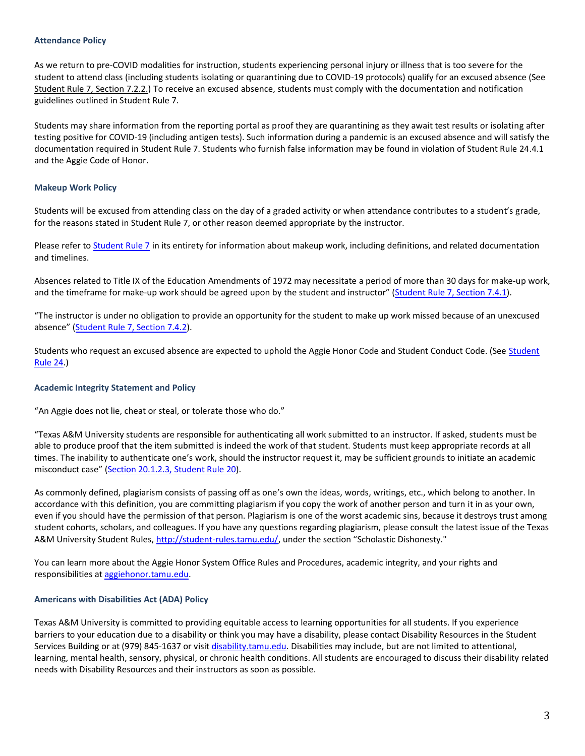#### **Attendance Policy**

As we return to pre-COVID modalities for instruction, students experiencing personal injury or illness that is too severe for the student to attend class (including students isolating or quarantining due to COVID-19 protocols) qualify for an excused absence (See [Student Rule 7, Section 7.2.2.\)](https://student-rules.tamu.edu/rule07/) To receive an excused absence, students must comply with the documentation and notification guidelines outlined in Student Rule 7.

Students may share information from the reporting portal as proof they are quarantining as they await test results or isolating after testing positive for COVID-19 (including antigen tests). Such information during a pandemic is an excused absence and will satisfy the documentation required in Student Rule 7. Students who furnish false information may be found in violation of Student Rule 24.4.1 and the Aggie Code of Honor.

## **Makeup Work Policy**

Students will be excused from attending class on the day of a graded activity or when attendance contributes to a student's grade, for the reasons stated in Student Rule 7, or other reason deemed appropriate by the instructor.

Please refer to **Student Rule 7** in its entirety for information about makeup work, including definitions, and related documentation and timelines.

Absences related to Title IX of the Education Amendments of 1972 may necessitate a period of more than 30 days for make-up work, and the timeframe for make-up work should be agreed upon by the student and instructor" ([Student Rule 7, Section 7.4.1\)](https://student-rules.tamu.edu/rule07).

"The instructor is under no obligation to provide an opportunity for the student to make up work missed because of an unexcused absence" ([Student Rule 7, Section 7.4.2\)](https://student-rules.tamu.edu/rule07).

Students who request an excused absence are expected to uphold the Aggie Honor Code and Student Conduct Code. (Se[e Student](https://student-rules.tamu.edu/rule24/)  [Rule 24.\)](https://student-rules.tamu.edu/rule24/)

## **Academic Integrity Statement and Policy**

"An Aggie does not lie, cheat or steal, or tolerate those who do."

"Texas A&M University students are responsible for authenticating all work submitted to an instructor. If asked, students must be able to produce proof that the item submitted is indeed the work of that student. Students must keep appropriate records at all times. The inability to authenticate one's work, should the instructor request it, may be sufficient grounds to initiate an academic misconduct case" ([Section 20.1.2.3, Student Rule 20\)](https://aggiehonor.tamu.edu/Rules-and-Procedures/Rules/Honor-System-Rules).

As commonly defined, plagiarism consists of passing off as one's own the ideas, words, writings, etc., which belong to another. In accordance with this definition, you are committing plagiarism if you copy the work of another person and turn it in as your own, even if you should have the permission of that person. Plagiarism is one of the worst academic sins, because it destroys trust among student cohorts, scholars, and colleagues. If you have any questions regarding plagiarism, please consult the latest issue of the Texas A&M University Student Rules[, http://student-rules.tamu.edu/](http://student-rules.tamu.edu/), under the section "Scholastic Dishonesty."

You can learn more about the Aggie Honor System Office Rules and Procedures, academic integrity, and your rights and responsibilities a[t aggiehonor.tamu.edu.](https://aggiehonor.tamu.edu/)

## **Americans with Disabilities Act (ADA) Policy**

Texas A&M University is committed to providing equitable access to learning opportunities for all students. If you experience barriers to your education due to a disability or think you may have a disability, please contact Disability Resources in the Student Services Building or at (979) 845-1637 or visi[t disability.tamu.edu.](https://disability.tamu.edu/) Disabilities may include, but are not limited to attentional, learning, mental health, sensory, physical, or chronic health conditions. All students are encouraged to discuss their disability related needs with Disability Resources and their instructors as soon as possible.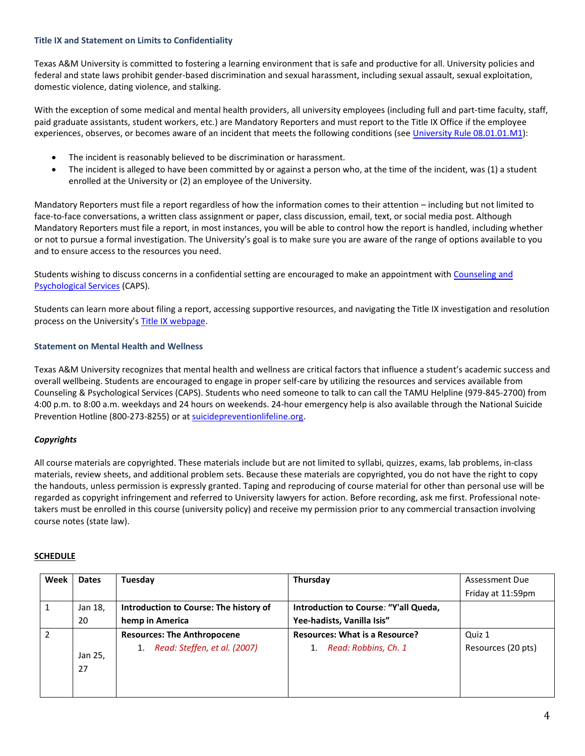## **Title IX and Statement on Limits to Confidentiality**

Texas A&M University is committed to fostering a learning environment that is safe and productive for all. University policies and federal and state laws prohibit gender-based discrimination and sexual harassment, including sexual assault, sexual exploitation, domestic violence, dating violence, and stalking.

With the exception of some medical and mental health providers, all university employees (including full and part-time faculty, staff, paid graduate assistants, student workers, etc.) are Mandatory Reporters and must report to the Title IX Office if the employee experiences, observes, or becomes aware of an incident that meets the following conditions (see [University Rule 08.01.01.M1\)](https://rules-saps.tamu.edu/PDFs/08.01.01.M1.pdf):

- The incident is reasonably believed to be discrimination or harassment.
- The incident is alleged to have been committed by or against a person who, at the time of the incident, was (1) a student enrolled at the University or (2) an employee of the University.

Mandatory Reporters must file a report regardless of how the information comes to their attention – including but not limited to face-to-face conversations, a written class assignment or paper, class discussion, email, text, or social media post. Although Mandatory Reporters must file a report, in most instances, you will be able to control how the report is handled, including whether or not to pursue a formal investigation. The University's goal is to make sure you are aware of the range of options available to you and to ensure access to the resources you need.

Students wishing to discuss concerns in a confidential setting are encouraged to make an appointment with [Counseling and](https://caps.tamu.edu/)  [Psychological Services](https://caps.tamu.edu/) (CAPS).

Students can learn more about filing a report, accessing supportive resources, and navigating the Title IX investigation and resolution process on the University's [Title IX webpage.](https://titleix.tamu.edu/)

# **Statement on Mental Health and Wellness**

Texas A&M University recognizes that mental health and wellness are critical factors that influence a student's academic success and overall wellbeing. Students are encouraged to engage in proper self-care by utilizing the resources and services available from Counseling & Psychological Services (CAPS). Students who need someone to talk to can call the TAMU Helpline (979-845-2700) from 4:00 p.m. to 8:00 a.m. weekdays and 24 hours on weekends. 24-hour emergency help is also available through the National Suicide Prevention Hotline (800-273-8255) or at [suicidepreventionlifeline.org.](https://suicidepreventionlifeline.org/)

# *Copyrights*

All course materials are copyrighted. These materials include but are not limited to syllabi, quizzes, exams, lab problems, in-class materials, review sheets, and additional problem sets. Because these materials are copyrighted, you do not have the right to copy the handouts, unless permission is expressly granted. Taping and reproducing of course material for other than personal use will be regarded as copyright infringement and referred to University lawyers for action. Before recording, ask me first. Professional notetakers must be enrolled in this course (university policy) and receive my permission prior to any commercial transaction involving course notes (state law).

## **SCHEDULE**

| Week | <b>Dates</b>  | Tuesday                                | Thursday                              | Assessment Due     |
|------|---------------|----------------------------------------|---------------------------------------|--------------------|
|      |               |                                        |                                       | Friday at 11:59pm  |
|      | Jan 18,       | Introduction to Course: The history of | Introduction to Course: "Y'all Queda, |                    |
|      | 20            | hemp in America                        | Yee-hadists, Vanilla Isis"            |                    |
|      |               | <b>Resources: The Anthropocene</b>     | <b>Resources: What is a Resource?</b> | Quiz 1             |
|      | Jan 25,<br>27 | Read: Steffen, et al. (2007)<br>1.     | Read: Robbins, Ch. 1                  | Resources (20 pts) |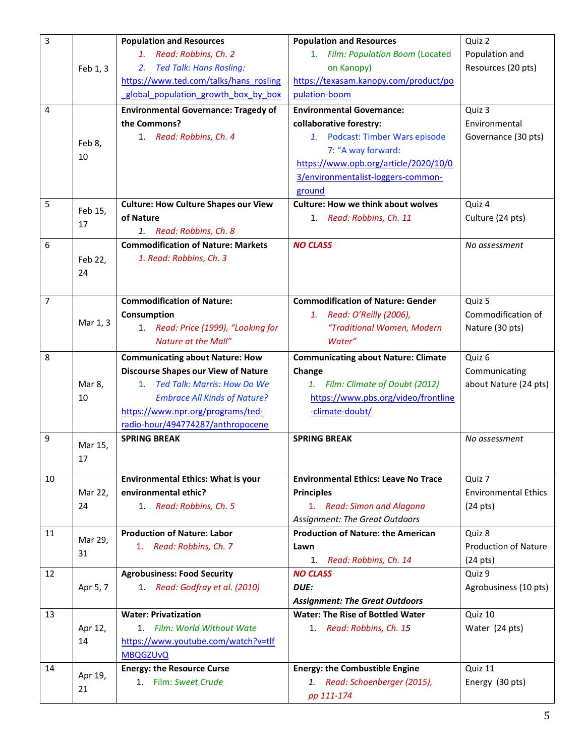| 3              |          | <b>Population and Resources</b>             | <b>Population and Resources</b>             | Quiz 2                      |
|----------------|----------|---------------------------------------------|---------------------------------------------|-----------------------------|
|                |          | 1. Read: Robbins, Ch. 2                     | 1. Film: Population Boom (Located           | Population and              |
|                | Feb 1, 3 | <b>Ted Talk: Hans Rosling:</b><br>2.        | on Kanopy)                                  | Resources (20 pts)          |
|                |          | https://www.ted.com/talks/hans rosling      | https://texasam.kanopy.com/product/po       |                             |
|                |          | global population growth box by box         | pulation-boom                               |                             |
| 4              |          | <b>Environmental Governance: Tragedy of</b> | <b>Environmental Governance:</b>            | Quiz 3                      |
|                |          | the Commons?                                | collaborative forestry:                     | Environmental               |
|                | Feb 8,   | 1. Read: Robbins, Ch. 4                     | 1. Podcast: Timber Wars episode             | Governance (30 pts)         |
|                | 10       |                                             | 7: "A way forward:                          |                             |
|                |          |                                             | https://www.opb.org/article/2020/10/0       |                             |
|                |          |                                             | 3/environmentalist-loggers-common-          |                             |
|                |          |                                             | ground                                      |                             |
| 5              | Feb 15,  | <b>Culture: How Culture Shapes our View</b> | <b>Culture: How we think about wolves</b>   | Quiz 4                      |
|                | 17       | of Nature                                   | 1. Read: Robbins, Ch. 11                    | Culture (24 pts)            |
|                |          | 1. Read: Robbins, Ch. 8                     |                                             |                             |
| 6              |          | <b>Commodification of Nature: Markets</b>   | <b>NO CLASS</b>                             | No assessment               |
|                | Feb 22,  | 1. Read: Robbins, Ch. 3                     |                                             |                             |
|                | 24       |                                             |                                             |                             |
|                |          |                                             |                                             |                             |
| $\overline{7}$ |          | <b>Commodification of Nature:</b>           | <b>Commodification of Nature: Gender</b>    | Quiz 5                      |
|                | Mar 1, 3 | Consumption                                 | Read: O'Reilly (2006),<br>1.                | Commodification of          |
|                |          | 1. Read: Price (1999), "Looking for         | "Traditional Women, Modern                  | Nature (30 pts)             |
|                |          | Nature at the Mall"                         | Water"                                      |                             |
| 8              |          | <b>Communicating about Nature: How</b>      | <b>Communicating about Nature: Climate</b>  | Quiz 6                      |
|                |          | <b>Discourse Shapes our View of Nature</b>  | Change                                      | Communicating               |
|                | Mar 8,   | <b>Ted Talk: Marris: How Do We</b><br>1.    | 1. Film: Climate of Doubt (2012)            | about Nature (24 pts)       |
|                | 10       | <b>Embrace All Kinds of Nature?</b>         | https://www.pbs.org/video/frontline         |                             |
|                |          | https://www.npr.org/programs/ted-           | -climate-doubt/                             |                             |
|                |          | radio-hour/494774287/anthropocene           |                                             |                             |
| 9              | Mar 15,  | <b>SPRING BREAK</b>                         | <b>SPRING BREAK</b>                         | No assessment               |
|                | 17       |                                             |                                             |                             |
| 10             |          | <b>Environmental Ethics: What is your</b>   | <b>Environmental Ethics: Leave No Trace</b> | Quiz 7                      |
|                | Mar 22,  | environmental ethic?                        | <b>Principles</b>                           | <b>Environmental Ethics</b> |
|                | 24       | 1. Read: Robbins, Ch. 5                     | 1. Read: Simon and Alagona                  | $(24 \text{ pts})$          |
|                |          |                                             | <b>Assignment: The Great Outdoors</b>       |                             |
| 11             |          | <b>Production of Nature: Labor</b>          | <b>Production of Nature: the American</b>   | Quiz 8                      |
|                | Mar 29,  | 1. Read: Robbins, Ch. 7                     | Lawn                                        | <b>Production of Nature</b> |
|                | 31       |                                             | Read: Robbins, Ch. 14<br>1.                 | $(24 \text{ pts})$          |
| 12             |          | <b>Agrobusiness: Food Security</b>          | <b>NO CLASS</b>                             | Quiz 9                      |
|                | Apr 5, 7 | 1. Read: Godfray et al. (2010)              | DUE:                                        | Agrobusiness (10 pts)       |
|                |          |                                             | <b>Assignment: The Great Outdoors</b>       |                             |
| 13             |          | <b>Water: Privatization</b>                 | <b>Water: The Rise of Bottled Water</b>     | Quiz 10                     |
|                | Apr 12,  | 1. Film: World Without Wate                 | 1. Read: Robbins, Ch. 15                    | Water (24 pts)              |
|                | 14       | https://www.youtube.com/watch?v=tlf         |                                             |                             |
|                |          | <b>MBQGZUvQ</b>                             |                                             |                             |
| 14             |          | <b>Energy: the Resource Curse</b>           | <b>Energy: the Combustible Engine</b>       | Quiz 11                     |
|                | Apr 19,  | Film: Sweet Crude<br>1.                     | Read: Schoenberger (2015),<br>1.            | Energy (30 pts)             |
|                | 21       |                                             | pp 111-174                                  |                             |